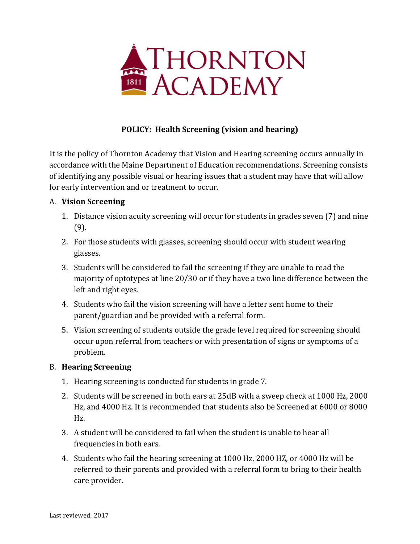

## **POLICY: Health Screening (vision and hearing)**

It is the policy of Thornton Academy that Vision and Hearing screening occurs annually in accordance with the Maine Department of Education recommendations. Screening consists of identifying any possible visual or hearing issues that a student may have that will allow for early intervention and or treatment to occur.

## A. **Vision Screening**

- 1. Distance vision acuity screening will occur for students in grades seven (7) and nine (9).
- 2. For those students with glasses, screening should occur with student wearing glasses.
- 3. Students will be considered to fail the screening if they are unable to read the majority of optotypes at line 20/30 or if they have a two line difference between the left and right eyes.
- 4. Students who fail the vision screening will have a letter sent home to their parent/guardian and be provided with a referral form.
- 5. Vision screening of students outside the grade level required for screening should occur upon referral from teachers or with presentation of signs or symptoms of a problem.

## B. **Hearing Screening**

- 1. Hearing screening is conducted for students in grade 7.
- 2. Students will be screened in both ears at 25dB with a sweep check at 1000 Hz, 2000 Hz, and 4000 Hz. It is recommended that students also be Screened at 6000 or 8000 Hz.
- 3. A student will be considered to fail when the student is unable to hear all frequencies in both ears.
- 4. Students who fail the hearing screening at 1000 Hz, 2000 HZ, or 4000 Hz will be referred to their parents and provided with a referral form to bring to their health care provider.